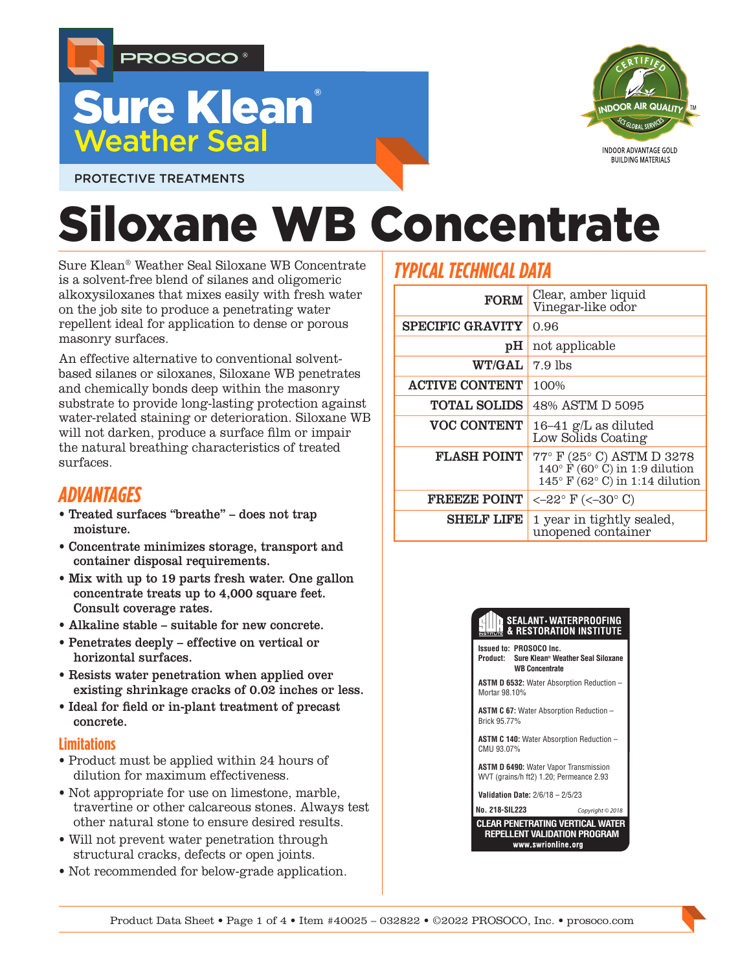

## **Sure Klean Weather Seal**



PROTECTIVE TREATMENTS

# Siloxane WB Concentrate

Sure Klean® Weather Seal Siloxane WB Concentrate is a solvent-free blend of silanes and oligomeric alkoxysiloxanes that mixes easily with fresh water on the job site to produce a penetrating water repellent ideal for application to dense or porous masonry surfaces.

An effective alternative to conventional solventbased silanes or siloxanes, Siloxane WB penetrates and chemically bonds deep within the masonry substrate to provide long-lasting protection against water-related staining or deterioration. Siloxane WB will not darken, produce a surface film or impair the natural breathing characteristics of treated surfaces.

## *ADVANTAGES*

- Treated surfaces "breathe" does not trap moisture.
- Concentrate minimizes storage, transport and container disposal requirements.
- Mix with up to 19 parts fresh water. One gallon concentrate treats up to 4,000 square feet. Consult coverage rates.
- Alkaline stable suitable for new concrete.
- Penetrates deeply effective on vertical or horizontal surfaces.
- Resists water penetration when applied over existing shrinkage cracks of 0.02 inches or less.
- Ideal for field or in-plant treatment of precast concrete.

#### **Limitations**

- Product must be applied within 24 hours of dilution for maximum effectiveness.
- Not appropriate for use on limestone, marble, travertine or other calcareous stones. Always test other natural stone to ensure desired results.
- Will not prevent water penetration through structural cracks, defects or open joints.
- Not recommended for below-grade application.

## *TYPICAL TECHNICAL DATA*

| <b>FORM</b>             | Clear, amber liquid<br>Vinegar-like odor                                                                               |  |  |
|-------------------------|------------------------------------------------------------------------------------------------------------------------|--|--|
| <b>SPECIFIC GRAVITY</b> | 0.96                                                                                                                   |  |  |
| pH                      | not applicable                                                                                                         |  |  |
| <b>WT/GAL</b>           | $7.9$ lbs                                                                                                              |  |  |
| <b>ACTIVE CONTENT</b>   | 100%                                                                                                                   |  |  |
| <b>TOTAL SOLIDS</b>     | 48% ASTM D 5095                                                                                                        |  |  |
| <b>VOC CONTENT</b>      | 16–41 g/L as diluted<br>Low Solids Coating                                                                             |  |  |
| <b>FLASH POINT</b>      | 77° F (25° C) ASTM D 3278<br>$140^\circ$ F (60 $^\circ$ C) in 1:9 dilution<br>$145^{\circ}$ F (62° C) in 1:14 dilution |  |  |
| <b>FREEZE POINT</b>     | $<-22^{\circ}$ F ( $<-30^{\circ}$ C)                                                                                   |  |  |
| <b>SHELF LIFE</b>       | 1 year in tightly sealed,<br>unopened container                                                                        |  |  |

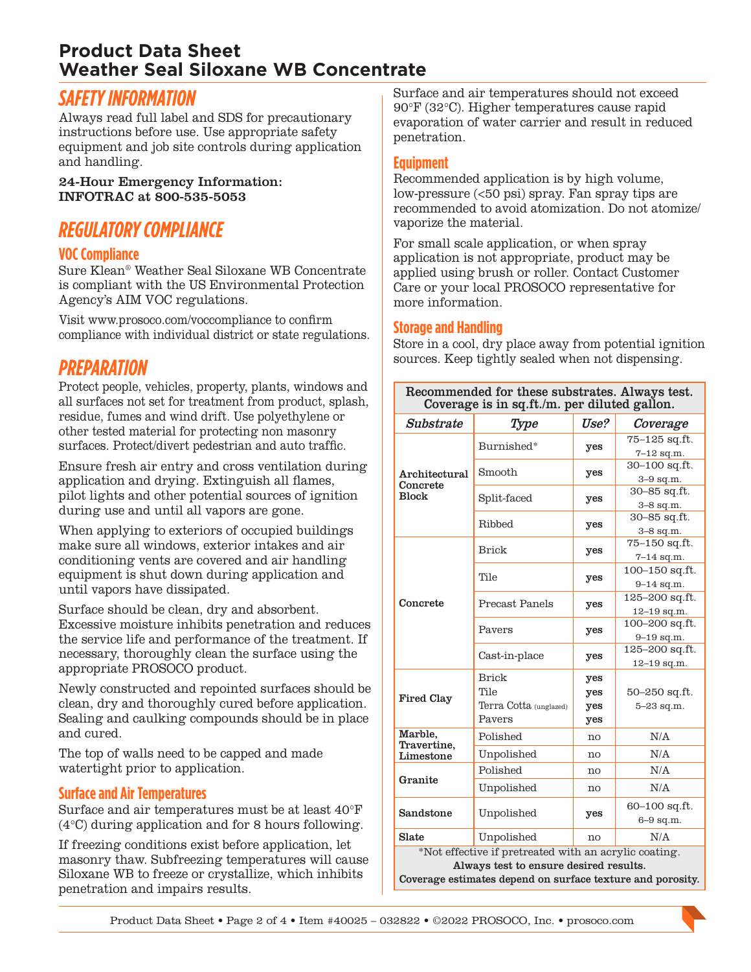## **Product Data Sheet Weather Seal Siloxane WB Concentrate**

## *SAFETY INFORMATION*

Always read full label and SDS for precautionary instructions before use. Use appropriate safety equipment and job site controls during application and handling.

24-Hour Emergency Information: INFOTRAC at 800-535-5053

## *REGULATORY COMPLIANCE*

#### **VOC Compliance**

Sure Klean® Weather Seal Siloxane WB Concentrate is compliant with the US Environmental Protection Agency's AIM VOC regulations.

Visit www.prosoco.com/voccompliance to confirm compliance with individual district or state regulations.

## *PREPARATION*

Protect people, vehicles, property, plants, windows and all surfaces not set for treatment from product, splash, residue, fumes and wind drift. Use polyethylene or other tested material for protecting non masonry surfaces. Protect/divert pedestrian and auto traffic.

Ensure fresh air entry and cross ventilation during application and drying. Extinguish all flames, pilot lights and other potential sources of ignition during use and until all vapors are gone.

When applying to exteriors of occupied buildings make sure all windows, exterior intakes and air conditioning vents are covered and air handling equipment is shut down during application and until vapors have dissipated.

Surface should be clean, dry and absorbent. Excessive moisture inhibits penetration and reduces the service life and performance of the treatment. If necessary, thoroughly clean the surface using the appropriate PROSOCO product.

Newly constructed and repointed surfaces should be clean, dry and thoroughly cured before application. Sealing and caulking compounds should be in place and cured.

The top of walls need to be capped and made watertight prior to application.

#### **Surface and Air Temperatures**

Surface and air temperatures must be at least 40°F (4°C) during application and for 8 hours following.

If freezing conditions exist before application, let masonry thaw. Subfreezing temperatures will cause Siloxane WB to freeze or crystallize, which inhibits penetration and impairs results.

Surface and air temperatures should not exceed 90°F (32°C). Higher temperatures cause rapid evaporation of water carrier and result in reduced penetration.

#### **Equipment**

Recommended application is by high volume, low-pressure (<50 psi) spray. Fan spray tips are recommended to avoid atomization. Do not atomize/ vaporize the material.

For small scale application, or when spray application is not appropriate, product may be applied using brush or roller. Contact Customer Care or your local PROSOCO representative for more information.

#### **Storage and Handling**

Store in a cool, dry place away from potential ignition sources. Keep tightly sealed when not dispensing.

| Recommended for these substrates. Always test.<br>Coverage is in sq.ft./m. per diluted gallon. |                        |      |                   |  |
|------------------------------------------------------------------------------------------------|------------------------|------|-------------------|--|
| Substrate                                                                                      | Type                   | Use? | Coverage          |  |
| Architectural<br>Concrete<br><b>Block</b>                                                      | Burnished*             | yes  | 75-125 sq.ft.     |  |
|                                                                                                |                        |      | $7-12$ sq.m.      |  |
|                                                                                                | Smooth                 | yes  | 30-100 sq.ft.     |  |
|                                                                                                |                        |      | $3-9$ sq.m.       |  |
|                                                                                                | Split-faced            | yes  | 30-85 sq.ft.      |  |
|                                                                                                |                        |      | $3-8$ sq.m.       |  |
|                                                                                                | Ribbed                 | yes  | 30-85 sq.ft.      |  |
|                                                                                                |                        |      | $3-8$ sq.m.       |  |
|                                                                                                | Brick                  | yes  | 75-150 sq.ft.     |  |
| Concrete                                                                                       |                        |      | $7 - 14$ sq.m.    |  |
|                                                                                                | Tile                   | yes  | 100-150 sq.ft.    |  |
|                                                                                                |                        |      | $9 - 14$ sq.m.    |  |
|                                                                                                | <b>Precast Panels</b>  | yes  | 125-200 sq.ft.    |  |
|                                                                                                |                        |      | $12 - 19$ sq.m.   |  |
|                                                                                                | Payers                 | yes  | 100-200 sq.ft.    |  |
|                                                                                                |                        |      | $9 - 19$ sq.m.    |  |
|                                                                                                | Cast-in-place          | yes  | 125-200 sq.ft.    |  |
|                                                                                                |                        |      | 12-19 sq.m.       |  |
| <b>Fired Clay</b>                                                                              | <b>Brick</b>           | yes  |                   |  |
|                                                                                                | Tile                   | yes  | $50 - 250$ sq.ft. |  |
|                                                                                                | Terra Cotta (unglazed) | yes  | $5 - 23$ sq.m.    |  |
|                                                                                                | Pavers                 | yes  |                   |  |
| Marble,<br>Travertine.<br>Limestone                                                            | Polished               | no   | N/A               |  |
|                                                                                                | Unpolished             | no   | N/A               |  |
| Granite                                                                                        | Polished               | no   | N/A               |  |
|                                                                                                | Unpolished             | no   | N/A               |  |
| Sandstone                                                                                      | Unpolished             | yes  | 60-100 sq.ft.     |  |
|                                                                                                |                        |      | $6-9$ sq.m.       |  |
| Slate                                                                                          | Unpolished             | no   | N/A               |  |
| *Not effective if pretreated with an acrylic coating.                                          |                        |      |                   |  |
| Always test to ensure desired results.                                                         |                        |      |                   |  |

Coverage estimates depend on surface texture and porosity.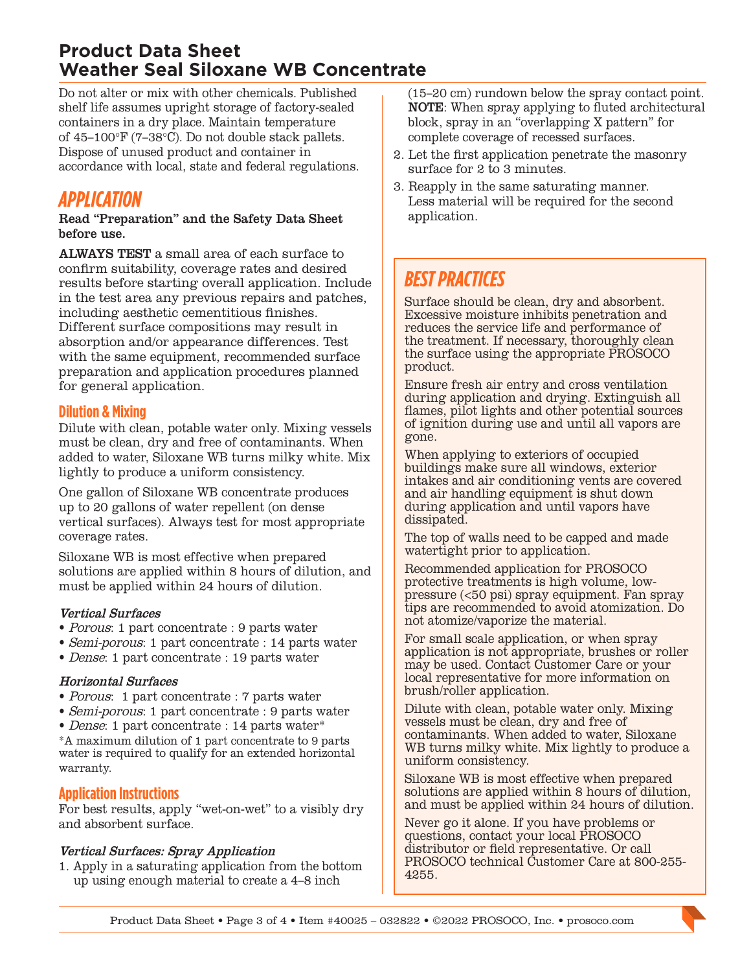## **Product Data Sheet Weather Seal Siloxane WB Concentrate**

Do not alter or mix with other chemicals. Published shelf life assumes upright storage of factory-sealed containers in a dry place. Maintain temperature of 45–100°F (7–38°C). Do not double stack pallets. Dispose of unused product and container in accordance with local, state and federal regulations.

## *APPLICATION*

#### Read "Preparation" and the Safety Data Sheet before use.

ALWAYS TEST a small area of each surface to confirm suitability, coverage rates and desired results before starting overall application. Include in the test area any previous repairs and patches, including aesthetic cementitious finishes. Different surface compositions may result in absorption and/or appearance differences. Test with the same equipment, recommended surface preparation and application procedures planned for general application.

#### **Dilution & Mixing**

Dilute with clean, potable water only. Mixing vessels must be clean, dry and free of contaminants. When added to water, Siloxane WB turns milky white. Mix lightly to produce a uniform consistency.

One gallon of Siloxane WB concentrate produces up to 20 gallons of water repellent (on dense vertical surfaces). Always test for most appropriate coverage rates.

Siloxane WB is most effective when prepared solutions are applied within 8 hours of dilution, and must be applied within 24 hours of dilution.

#### Vertical Surfaces

- Porous: 1 part concentrate : 9 parts water
- Semi-porous: 1 part concentrate : 14 parts water
- Dense: 1 part concentrate : 19 parts water

#### Horizontal Surfaces

- Porous: 1 part concentrate : 7 parts water
- Semi-porous: 1 part concentrate : 9 parts water
- Dense: 1 part concentrate : 14 parts water\*

\*A maximum dilution of 1 part concentrate to 9 parts water is required to qualify for an extended horizontal warranty.

#### **Application Instructions**

For best results, apply "wet-on-wet" to a visibly dry and absorbent surface.

#### Vertical Surfaces: Spray Application

1. Apply in a saturating application from the bottom up using enough material to create a 4–8 inch

(15–20 cm) rundown below the spray contact point. NOTE: When spray applying to fluted architectural block, spray in an "overlapping X pattern" for complete coverage of recessed surfaces.

- 2. Let the first application penetrate the masonry surface for 2 to 3 minutes.
- 3. Reapply in the same saturating manner. Less material will be required for the second application.

## *BEST PRACTICES*

Surface should be clean, dry and absorbent. Excessive moisture inhibits penetration and reduces the service life and performance of the treatment. If necessary, thoroughly clean the surface using the appropriate PROSOCO product.

Ensure fresh air entry and cross ventilation during application and drying. Extinguish all flames, pilot lights and other potential sources of ignition during use and until all vapors are gone.

When applying to exteriors of occupied buildings make sure all windows, exterior intakes and air conditioning vents are covered and air handling equipment is shut down during application and until vapors have dissipated.

The top of walls need to be capped and made watertight prior to application.

Recommended application for PROSOCO protective treatments is high volume, lowpressure (<50 psi) spray equipment. Fan spray tips are recommended to avoid atomization. Do not atomize/vaporize the material.

For small scale application, or when spray application is not appropriate, brushes or roller may be used. Contact Customer Care or your local representative for more information on brush/roller application.

Dilute with clean, potable water only. Mixing vessels must be clean, dry and free of contaminants. When added to water, Siloxane WB turns milky white. Mix lightly to produce a uniform consistency.

Siloxane WB is most effective when prepared solutions are applied within 8 hours of dilution, and must be applied within 24 hours of dilution.

Never go it alone. If you have problems or questions, contact your local PROSOCO distributor or field representative. Or call PROSOCO technical Customer Care at 800-255- 4255.